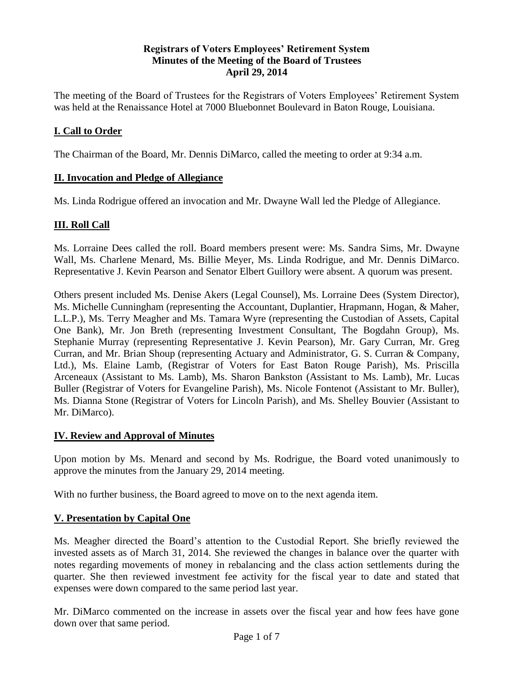## **Registrars of Voters Employees' Retirement System Minutes of the Meeting of the Board of Trustees April 29, 2014**

The meeting of the Board of Trustees for the Registrars of Voters Employees' Retirement System was held at the Renaissance Hotel at 7000 Bluebonnet Boulevard in Baton Rouge, Louisiana.

## **I. Call to Order**

The Chairman of the Board, Mr. Dennis DiMarco, called the meeting to order at 9:34 a.m.

## **II. Invocation and Pledge of Allegiance**

Ms. Linda Rodrigue offered an invocation and Mr. Dwayne Wall led the Pledge of Allegiance.

# **III. Roll Call**

Ms. Lorraine Dees called the roll. Board members present were: Ms. Sandra Sims, Mr. Dwayne Wall, Ms. Charlene Menard, Ms. Billie Meyer, Ms. Linda Rodrigue, and Mr. Dennis DiMarco. Representative J. Kevin Pearson and Senator Elbert Guillory were absent. A quorum was present.

Others present included Ms. Denise Akers (Legal Counsel), Ms. Lorraine Dees (System Director), Ms. Michelle Cunningham (representing the Accountant, Duplantier, Hrapmann, Hogan, & Maher, L.L.P.), Ms. Terry Meagher and Ms. Tamara Wyre (representing the Custodian of Assets, Capital One Bank), Mr. Jon Breth (representing Investment Consultant, The Bogdahn Group), Ms. Stephanie Murray (representing Representative J. Kevin Pearson), Mr. Gary Curran, Mr. Greg Curran, and Mr. Brian Shoup (representing Actuary and Administrator, G. S. Curran & Company, Ltd.), Ms. Elaine Lamb, (Registrar of Voters for East Baton Rouge Parish), Ms. Priscilla Arceneaux (Assistant to Ms. Lamb), Ms. Sharon Bankston (Assistant to Ms. Lamb), Mr. Lucas Buller (Registrar of Voters for Evangeline Parish), Ms. Nicole Fontenot (Assistant to Mr. Buller), Ms. Dianna Stone (Registrar of Voters for Lincoln Parish), and Ms. Shelley Bouvier (Assistant to Mr. DiMarco).

## **IV. Review and Approval of Minutes**

Upon motion by Ms. Menard and second by Ms. Rodrigue, the Board voted unanimously to approve the minutes from the January 29, 2014 meeting.

With no further business, the Board agreed to move on to the next agenda item.

# **V. Presentation by Capital One**

Ms. Meagher directed the Board's attention to the Custodial Report. She briefly reviewed the invested assets as of March 31, 2014. She reviewed the changes in balance over the quarter with notes regarding movements of money in rebalancing and the class action settlements during the quarter. She then reviewed investment fee activity for the fiscal year to date and stated that expenses were down compared to the same period last year.

Mr. DiMarco commented on the increase in assets over the fiscal year and how fees have gone down over that same period.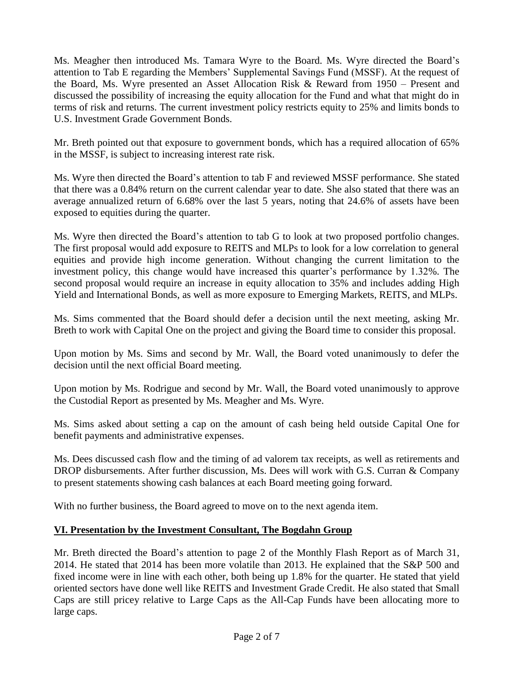Ms. Meagher then introduced Ms. Tamara Wyre to the Board. Ms. Wyre directed the Board's attention to Tab E regarding the Members' Supplemental Savings Fund (MSSF). At the request of the Board, Ms. Wyre presented an Asset Allocation Risk & Reward from 1950 – Present and discussed the possibility of increasing the equity allocation for the Fund and what that might do in terms of risk and returns. The current investment policy restricts equity to 25% and limits bonds to U.S. Investment Grade Government Bonds.

Mr. Breth pointed out that exposure to government bonds, which has a required allocation of 65% in the MSSF, is subject to increasing interest rate risk.

Ms. Wyre then directed the Board's attention to tab F and reviewed MSSF performance. She stated that there was a 0.84% return on the current calendar year to date. She also stated that there was an average annualized return of 6.68% over the last 5 years, noting that 24.6% of assets have been exposed to equities during the quarter.

Ms. Wyre then directed the Board's attention to tab G to look at two proposed portfolio changes. The first proposal would add exposure to REITS and MLPs to look for a low correlation to general equities and provide high income generation. Without changing the current limitation to the investment policy, this change would have increased this quarter's performance by 1.32%. The second proposal would require an increase in equity allocation to 35% and includes adding High Yield and International Bonds, as well as more exposure to Emerging Markets, REITS, and MLPs.

Ms. Sims commented that the Board should defer a decision until the next meeting, asking Mr. Breth to work with Capital One on the project and giving the Board time to consider this proposal.

Upon motion by Ms. Sims and second by Mr. Wall, the Board voted unanimously to defer the decision until the next official Board meeting.

Upon motion by Ms. Rodrigue and second by Mr. Wall, the Board voted unanimously to approve the Custodial Report as presented by Ms. Meagher and Ms. Wyre.

Ms. Sims asked about setting a cap on the amount of cash being held outside Capital One for benefit payments and administrative expenses.

Ms. Dees discussed cash flow and the timing of ad valorem tax receipts, as well as retirements and DROP disbursements. After further discussion, Ms. Dees will work with G.S. Curran & Company to present statements showing cash balances at each Board meeting going forward.

With no further business, the Board agreed to move on to the next agenda item.

#### **VI. Presentation by the Investment Consultant, The Bogdahn Group**

Mr. Breth directed the Board's attention to page 2 of the Monthly Flash Report as of March 31, 2014. He stated that 2014 has been more volatile than 2013. He explained that the S&P 500 and fixed income were in line with each other, both being up 1.8% for the quarter. He stated that yield oriented sectors have done well like REITS and Investment Grade Credit. He also stated that Small Caps are still pricey relative to Large Caps as the All-Cap Funds have been allocating more to large caps.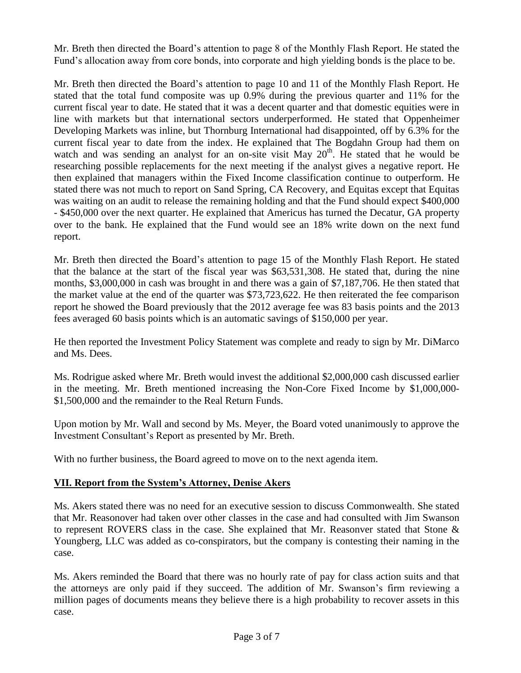Mr. Breth then directed the Board's attention to page 8 of the Monthly Flash Report. He stated the Fund's allocation away from core bonds, into corporate and high yielding bonds is the place to be.

Mr. Breth then directed the Board's attention to page 10 and 11 of the Monthly Flash Report. He stated that the total fund composite was up 0.9% during the previous quarter and 11% for the current fiscal year to date. He stated that it was a decent quarter and that domestic equities were in line with markets but that international sectors underperformed. He stated that Oppenheimer Developing Markets was inline, but Thornburg International had disappointed, off by 6.3% for the current fiscal year to date from the index. He explained that The Bogdahn Group had them on watch and was sending an analyst for an on-site visit May  $20<sup>th</sup>$ . He stated that he would be researching possible replacements for the next meeting if the analyst gives a negative report. He then explained that managers within the Fixed Income classification continue to outperform. He stated there was not much to report on Sand Spring, CA Recovery, and Equitas except that Equitas was waiting on an audit to release the remaining holding and that the Fund should expect \$400,000 - \$450,000 over the next quarter. He explained that Americus has turned the Decatur, GA property over to the bank. He explained that the Fund would see an 18% write down on the next fund report.

Mr. Breth then directed the Board's attention to page 15 of the Monthly Flash Report. He stated that the balance at the start of the fiscal year was \$63,531,308. He stated that, during the nine months, \$3,000,000 in cash was brought in and there was a gain of \$7,187,706. He then stated that the market value at the end of the quarter was \$73,723,622. He then reiterated the fee comparison report he showed the Board previously that the 2012 average fee was 83 basis points and the 2013 fees averaged 60 basis points which is an automatic savings of \$150,000 per year.

He then reported the Investment Policy Statement was complete and ready to sign by Mr. DiMarco and Ms. Dees.

Ms. Rodrigue asked where Mr. Breth would invest the additional \$2,000,000 cash discussed earlier in the meeting. Mr. Breth mentioned increasing the Non-Core Fixed Income by \$1,000,000- \$1,500,000 and the remainder to the Real Return Funds.

Upon motion by Mr. Wall and second by Ms. Meyer, the Board voted unanimously to approve the Investment Consultant's Report as presented by Mr. Breth.

With no further business, the Board agreed to move on to the next agenda item.

## **VII. Report from the System's Attorney, Denise Akers**

Ms. Akers stated there was no need for an executive session to discuss Commonwealth. She stated that Mr. Reasonover had taken over other classes in the case and had consulted with Jim Swanson to represent ROVERS class in the case. She explained that Mr. Reasonver stated that Stone & Youngberg, LLC was added as co-conspirators, but the company is contesting their naming in the case.

Ms. Akers reminded the Board that there was no hourly rate of pay for class action suits and that the attorneys are only paid if they succeed. The addition of Mr. Swanson's firm reviewing a million pages of documents means they believe there is a high probability to recover assets in this case.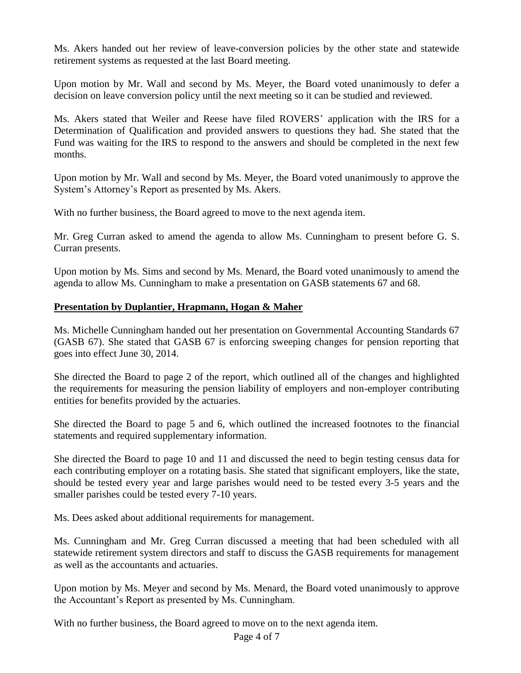Ms. Akers handed out her review of leave-conversion policies by the other state and statewide retirement systems as requested at the last Board meeting.

Upon motion by Mr. Wall and second by Ms. Meyer, the Board voted unanimously to defer a decision on leave conversion policy until the next meeting so it can be studied and reviewed.

Ms. Akers stated that Weiler and Reese have filed ROVERS' application with the IRS for a Determination of Qualification and provided answers to questions they had. She stated that the Fund was waiting for the IRS to respond to the answers and should be completed in the next few months.

Upon motion by Mr. Wall and second by Ms. Meyer, the Board voted unanimously to approve the System's Attorney's Report as presented by Ms. Akers.

With no further business, the Board agreed to move to the next agenda item.

Mr. Greg Curran asked to amend the agenda to allow Ms. Cunningham to present before G. S. Curran presents.

Upon motion by Ms. Sims and second by Ms. Menard, the Board voted unanimously to amend the agenda to allow Ms. Cunningham to make a presentation on GASB statements 67 and 68.

#### **Presentation by Duplantier, Hrapmann, Hogan & Maher**

Ms. Michelle Cunningham handed out her presentation on Governmental Accounting Standards 67 (GASB 67). She stated that GASB 67 is enforcing sweeping changes for pension reporting that goes into effect June 30, 2014.

She directed the Board to page 2 of the report, which outlined all of the changes and highlighted the requirements for measuring the pension liability of employers and non-employer contributing entities for benefits provided by the actuaries.

She directed the Board to page 5 and 6, which outlined the increased footnotes to the financial statements and required supplementary information.

She directed the Board to page 10 and 11 and discussed the need to begin testing census data for each contributing employer on a rotating basis. She stated that significant employers, like the state, should be tested every year and large parishes would need to be tested every 3-5 years and the smaller parishes could be tested every 7-10 years.

Ms. Dees asked about additional requirements for management.

Ms. Cunningham and Mr. Greg Curran discussed a meeting that had been scheduled with all statewide retirement system directors and staff to discuss the GASB requirements for management as well as the accountants and actuaries.

Upon motion by Ms. Meyer and second by Ms. Menard, the Board voted unanimously to approve the Accountant's Report as presented by Ms. Cunningham.

With no further business, the Board agreed to move on to the next agenda item.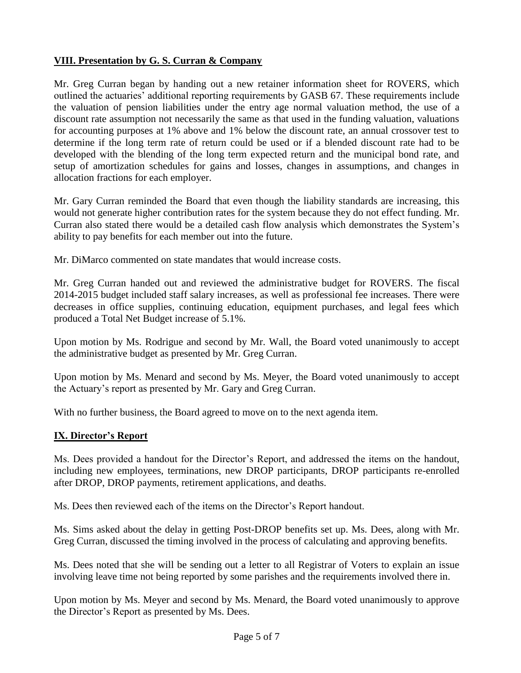# **VIII. Presentation by G. S. Curran & Company**

Mr. Greg Curran began by handing out a new retainer information sheet for ROVERS, which outlined the actuaries' additional reporting requirements by GASB 67. These requirements include the valuation of pension liabilities under the entry age normal valuation method, the use of a discount rate assumption not necessarily the same as that used in the funding valuation, valuations for accounting purposes at 1% above and 1% below the discount rate, an annual crossover test to determine if the long term rate of return could be used or if a blended discount rate had to be developed with the blending of the long term expected return and the municipal bond rate, and setup of amortization schedules for gains and losses, changes in assumptions, and changes in allocation fractions for each employer.

Mr. Gary Curran reminded the Board that even though the liability standards are increasing, this would not generate higher contribution rates for the system because they do not effect funding. Mr. Curran also stated there would be a detailed cash flow analysis which demonstrates the System's ability to pay benefits for each member out into the future.

Mr. DiMarco commented on state mandates that would increase costs.

Mr. Greg Curran handed out and reviewed the administrative budget for ROVERS. The fiscal 2014-2015 budget included staff salary increases, as well as professional fee increases. There were decreases in office supplies, continuing education, equipment purchases, and legal fees which produced a Total Net Budget increase of 5.1%.

Upon motion by Ms. Rodrigue and second by Mr. Wall, the Board voted unanimously to accept the administrative budget as presented by Mr. Greg Curran.

Upon motion by Ms. Menard and second by Ms. Meyer, the Board voted unanimously to accept the Actuary's report as presented by Mr. Gary and Greg Curran.

With no further business, the Board agreed to move on to the next agenda item.

## **IX. Director's Report**

Ms. Dees provided a handout for the Director's Report, and addressed the items on the handout, including new employees, terminations, new DROP participants, DROP participants re-enrolled after DROP, DROP payments, retirement applications, and deaths.

Ms. Dees then reviewed each of the items on the Director's Report handout.

Ms. Sims asked about the delay in getting Post-DROP benefits set up. Ms. Dees, along with Mr. Greg Curran, discussed the timing involved in the process of calculating and approving benefits.

Ms. Dees noted that she will be sending out a letter to all Registrar of Voters to explain an issue involving leave time not being reported by some parishes and the requirements involved there in.

Upon motion by Ms. Meyer and second by Ms. Menard, the Board voted unanimously to approve the Director's Report as presented by Ms. Dees.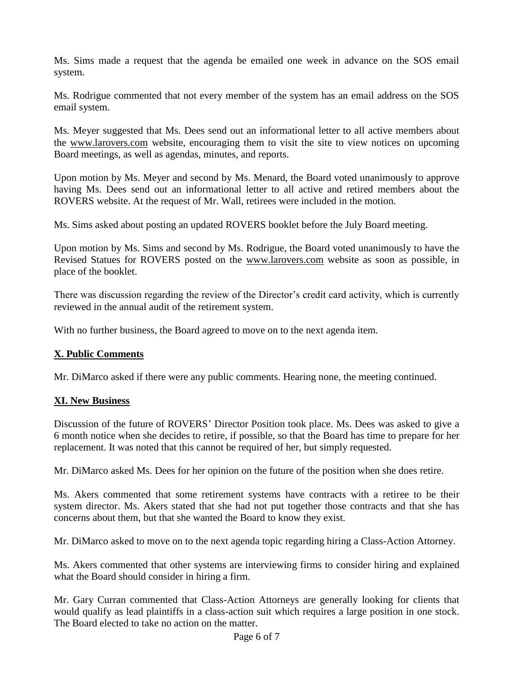Ms. Sims made a request that the agenda be emailed one week in advance on the SOS email system.

Ms. Rodrigue commented that not every member of the system has an email address on the SOS email system.

Ms. Meyer suggested that Ms. Dees send out an informational letter to all active members about the [www.larovers.com](http://www.larovers.com/) website, encouraging them to visit the site to view notices on upcoming Board meetings, as well as agendas, minutes, and reports.

Upon motion by Ms. Meyer and second by Ms. Menard, the Board voted unanimously to approve having Ms. Dees send out an informational letter to all active and retired members about the ROVERS website. At the request of Mr. Wall, retirees were included in the motion.

Ms. Sims asked about posting an updated ROVERS booklet before the July Board meeting.

Upon motion by Ms. Sims and second by Ms. Rodrigue, the Board voted unanimously to have the Revised Statues for ROVERS posted on the [www.larovers.com](http://www.larovers.com/) website as soon as possible, in place of the booklet.

There was discussion regarding the review of the Director's credit card activity, which is currently reviewed in the annual audit of the retirement system.

With no further business, the Board agreed to move on to the next agenda item.

## **X. Public Comments**

Mr. DiMarco asked if there were any public comments. Hearing none, the meeting continued.

## **XI. New Business**

Discussion of the future of ROVERS' Director Position took place. Ms. Dees was asked to give a 6 month notice when she decides to retire, if possible, so that the Board has time to prepare for her replacement. It was noted that this cannot be required of her, but simply requested.

Mr. DiMarco asked Ms. Dees for her opinion on the future of the position when she does retire.

Ms. Akers commented that some retirement systems have contracts with a retiree to be their system director. Ms. Akers stated that she had not put together those contracts and that she has concerns about them, but that she wanted the Board to know they exist.

Mr. DiMarco asked to move on to the next agenda topic regarding hiring a Class-Action Attorney.

Ms. Akers commented that other systems are interviewing firms to consider hiring and explained what the Board should consider in hiring a firm.

Mr. Gary Curran commented that Class-Action Attorneys are generally looking for clients that would qualify as lead plaintiffs in a class-action suit which requires a large position in one stock. The Board elected to take no action on the matter.